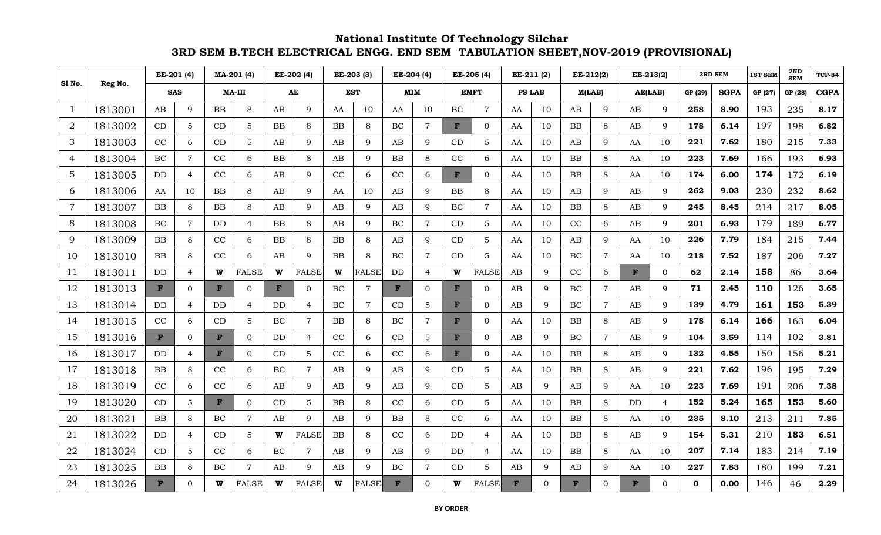|                |         | EE-201 (4)   |                | MA-201 (4) |                | EE-202 (4)   |                | EE-203 (3) |              | EE-204 (4) |                | EE-205 (4)   | EE-211 (2)     |               | EE-212(2) |           | EE-213(2)      |             | <b>3RD SEM</b> |              |             | 2ND            | <b>TCP-84</b> |             |
|----------------|---------|--------------|----------------|------------|----------------|--------------|----------------|------------|--------------|------------|----------------|--------------|----------------|---------------|-----------|-----------|----------------|-------------|----------------|--------------|-------------|----------------|---------------|-------------|
| S1 No.         | Reg No. |              |                |            |                |              |                |            |              |            |                |              |                |               |           |           |                |             |                |              |             | <b>1ST SEM</b> | <b>SEM</b>    |             |
|                |         |              | <b>SAS</b>     |            | <b>MA-III</b>  | AE           |                | <b>EST</b> |              |            | <b>MIM</b>     |              | EMFT           | <b>PS LAB</b> |           |           | M(LAB)         |             | AE(LAB)        | GP (29)      | <b>SGPA</b> | GP (27)        | GP (28)       | <b>CGPA</b> |
| -1             | 1813001 | AB           | 9              | <b>BB</b>  | 8              | AB           | 9              | AA         | 10           | AA         | 10             | <b>BC</b>    | $\overline{7}$ | AA            | 10        | AB        | 9              | AB          | 9              | 258          | 8.90        | 193            | 235           | 8.17        |
| $\overline{2}$ | 1813002 | CD           | 5              | CD         | 5              | <b>BB</b>    | 8              | <b>BB</b>  | 8            | BC         | $\overline{7}$ | $\mathbf{F}$ | $\overline{0}$ | AA            | 10        | <b>BB</b> | 8              | AB          | 9              | 178          | 6.14        | 197            | 198           | 6.82        |
| 3              | 1813003 | CC           | 6              | CD         | 5              | AB           | 9              | AB         | $\mathbf Q$  | AB         | 9              | CD           | 5 <sup>5</sup> | AA            | 10        | AB        | 9              | AA          | 10             | 221          | 7.62        | 180            | 215           | 7.33        |
| $\overline{4}$ | 1813004 | BC           | $\overline{7}$ | CC         | 6              | $_{\rm BB}$  | 8              | AB         | 9            | <b>BB</b>  | 8              | CC           | 6              | AA            | 10        | <b>BB</b> | $8\,$          | AA          | 10             | 223          | 7.69        | 166            | 193           | 6.93        |
| 5              | 1813005 | <b>DD</b>    | $\overline{4}$ | CC         | 6              | AB           | 9              | CC         | 6            | CC         | 6              | F            | $\Omega$       | AA            | 10        | <b>BB</b> | 8              | AA          | 10             | 174          | 6.00        | 174            | 172           | 6.19        |
| 6              | 1813006 | AA           | 10             | <b>BB</b>  | 8              | AB           | 9              | AA         | 10           | AB         | 9              | BB           | 8              | AA            | 10        | AB        | 9              | AB          | 9              | 262          | 9.03        | 230            | 232           | 8.62        |
| $\overline{7}$ | 1813007 | BB           | 8              | <b>BB</b>  | 8              | AB           | 9              | AB         | $\mathbf{Q}$ | AB         | 9              | BC           | $\overline{7}$ | AA            | 10        | <b>BB</b> | 8              | AB          | $\mathbf Q$    | 245          | 8.45        | 214            | 217           | 8.05        |
| 8              | 1813008 | BC           | $\overline{7}$ | DD         | $\overline{4}$ | BB           | 8              | AB         | $\mathbf Q$  | BC         | $\overline{7}$ | CD           | $5\phantom{.}$ | AA            | 10        | CC        | 6              | AB          | 9              | 201          | 6.93        | 179            | 189           | 6.77        |
| 9              | 1813009 | <b>BB</b>    | $\,8\,$        | CC         | 6              | <b>BB</b>    | 8              | <b>BB</b>  | 8            | AB         | 9              | CD           | 5              | AA            | 10        | AB        | 9              | AA          | 10             | 226          | 7.79        | 184            | 215           | 7.44        |
| 10             | 1813010 | <b>BB</b>    | 8              | CC         | 6              | AB           | 9              | BB         | 8            | BC         | $\overline{7}$ | CD           | 5              | AA            | 10        | BC        | $\overline{7}$ | AA          | 10             | 218          | 7.52        | 187            | 206           | 7.27        |
| 11             | 1813011 | <b>DD</b>    | $\overline{4}$ | W          | <b>FALSE</b>   | W            | <b>FALSE</b>   | W          | <b>FALSE</b> | DD         | $\overline{4}$ | W            | <b>FALSE</b>   | AB            | 9         | CC        | 6              | $\mathbf F$ | $\Omega$       | 62           | 2.14        | 158            | 86            | 3.64        |
| 12             | 1813013 | $\mathbf{F}$ | $\overline{0}$ | F          | $\overline{0}$ | $\mathbf{F}$ | $\overline{0}$ | BC         | 7            | F          | $\Omega$       | $\mathbf{F}$ | $\overline{0}$ | AB            | 9         | BC        | $\overline{7}$ | AB          | 9              | 71           | 2.45        | 110            | 126           | 3.65        |
| 13             | 1813014 | DD           | $\overline{4}$ | DD         | $\overline{4}$ | DD           | $\overline{4}$ | BC         | 7            | CD         | 5              | F            | $\overline{0}$ | AB            | 9         | $\rm BC$  | $\overline{7}$ | AB          | 9              | 139          | 4.79        | 161            | 153           | 5.39        |
| 14             | 1813015 | CC           | 6              | CD         | $\overline{5}$ | BC           | $\overline{7}$ | <b>BB</b>  | 8            | BC         | $\overline{7}$ | $\mathbf{F}$ | $\overline{0}$ | AA            | 10        | BB        | 8              | AB          | 9              | 178          | 6.14        | 166            | 163           | 6.04        |
| 15             | 1813016 | F            | $\overline{0}$ | F          | $\overline{0}$ | DD           | $\overline{4}$ | CC         | 6            | CD         | 5              | F            | $\overline{0}$ | AB            | 9         | BC        | $\overline{7}$ | AB          | 9              | 104          | 3.59        | 114            | 102           | 3.81        |
| 16             | 1813017 | DD           | $\overline{4}$ | F          | $\overline{0}$ | CD           | $5\phantom{.}$ | CC         | 6            | CC         | 6              | F            | $\overline{0}$ | AA            | 10        | <b>BB</b> | 8              | AB          | 9              | 132          | 4.55        | 150            | 156           | 5.21        |
| 17             | 1813018 | BB           | 8              | CC         | 6              | BC           | $\overline{7}$ | AB         | $\mathbf Q$  | AB         | 9              | CD           | $5\phantom{.}$ | AA            | 10        | BB        | 8              | AB          | 9              | 221          | 7.62        | 196            | 195           | 7.29        |
| 18             | 1813019 | CC           | 6              | CC         | 6              | AB           | 9              | AB         | 9            | AB         | 9              | CD           | 5              | AB            | 9         | AB        | 9              | AA          | 10             | 223          | 7.69        | 191            | 206           | 7.38        |
| 19             | 1813020 | CD           | 5              | F          | $\Omega$       | CD           | 5              | BB         | 8            | CC         | 6              | CD           | $5\phantom{.}$ | AA            | 10        | <b>BB</b> | 8              | DD          | $\overline{4}$ | 152          | 5.24        | 165            | 153           | 5.60        |
| 20             | 1813021 | <b>BB</b>    | 8              | BC         | $\overline{7}$ | AB           | 9              | AB         | $\mathbf{Q}$ | BB         | 8              | CC           | 6              | AA            | 10        | <b>BB</b> | 8              | AA          | 10             | 235          | 8.10        | 213            | 211           | 7.85        |
| 21             | 1813022 | <b>DD</b>    | $\overline{4}$ | CD         | 5              | W            | <b>FALSE</b>   | BB         | 8            | CC         | 6              | DD           | $\overline{4}$ | AA            | 10        | <b>BB</b> | 8              | AB          | 9              | 154          | 5.31        | 210            | 183           | 6.51        |
| 22             | 1813024 | CD           | 5              | CC         | 6              | BC           | $\overline{7}$ | AB         | 9            | AB         | 9              | DD           | $\overline{4}$ | AA            | 10        | <b>BB</b> | 8              | AA          | 10             | 207          | 7.14        | 183            | 214           | 7.19        |
| 23             | 1813025 | $\rm BB$     | 8              | $\rm BC$   | $\overline{7}$ | AB           | 9              | AB         | $\mathbf Q$  | BC         | $\overline{7}$ | CD           | $5\phantom{.}$ | AB            | 9         | AB        | 9              | AA          | 10             | 227          | 7.83        | 180            | 199           | 7.21        |
| 24             | 1813026 | F            | $\Omega$       | W          | <b>FALSE</b>   | W            | <b>FALSE</b>   | W          | <b>FALSE</b> | F          | $\Omega$       | W            | <b>FALSE</b>   | F             | $\Omega$  | F         | $\Omega$       | F           | $\Omega$       | $\mathbf{0}$ | 0.00        | 146            | 46            | 2.29        |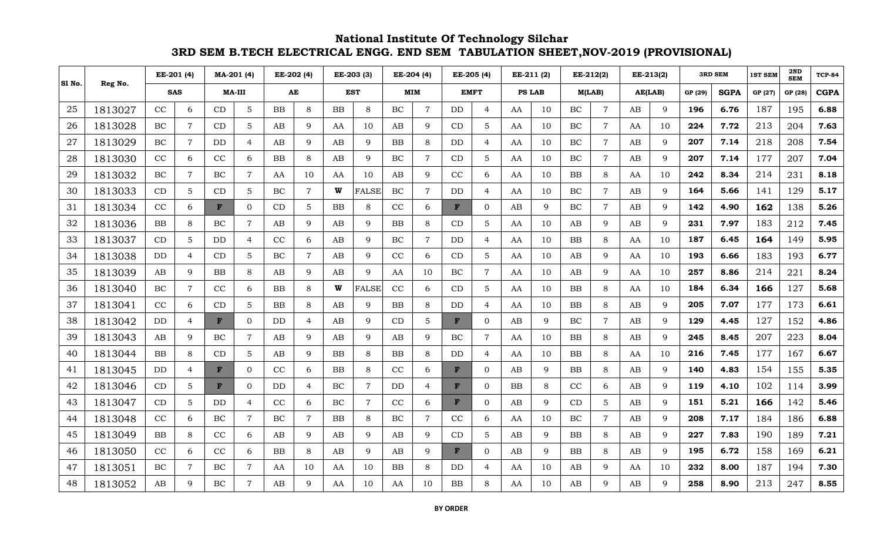|        |         |           | EE-201 (4)     |             | MA-201 (4)     |             | EE-202 (4)     |           | EE-203 (3)     |           | EE-204 (4)     |             | EE-205 (4)     |    | EE-211 (2)    |           | EE-212(2)      |    | EE-213(2)    |         | <b>3RD SEM</b> | <b>1ST SEM</b> | 2ND<br><b>SEM</b> | <b>TCP-84</b> |
|--------|---------|-----------|----------------|-------------|----------------|-------------|----------------|-----------|----------------|-----------|----------------|-------------|----------------|----|---------------|-----------|----------------|----|--------------|---------|----------------|----------------|-------------------|---------------|
| S1 No. | Reg No. |           | <b>SAS</b>     |             | <b>MA-III</b>  |             | AE             |           | <b>EST</b>     |           | <b>MIM</b>     |             | <b>EMFT</b>    |    | <b>PS LAB</b> |           | M(LAB)         |    | AE(LAB)      | GP (29) | <b>SGPA</b>    | GP (27)        | GP (28)           | <b>CGPA</b>   |
| 25     | 1813027 | CC        | 6              | CD          | $\mathbf 5$    | <b>BB</b>   | 8              | <b>BB</b> | 8              | BC        | $\overline{7}$ | DD          | $\overline{4}$ | AA | 10            | $\rm BC$  | $\overline{7}$ | AB | 9            | 196     | 6.76           | 187            | 195               | 6.88          |
| 26     | 1813028 | BC        | $\overline{7}$ | CD          | $\mathbf 5$    | AB          | 9              | AA        | 10             | AB        | 9              | CD          | 5              | AA | 10            | BC        | $\overline{7}$ | AA | 10           | 224     | 7.72           | 213            | 204               | 7.63          |
| 27     | 1813029 | BC        | $\overline{7}$ | DD          | $\overline{4}$ | AB          | 9              | AB        | $\mathbf{Q}$   | BB        | 8              | DD          | $\overline{4}$ | AA | 10            | $\rm BC$  | $\overline{7}$ | AB | 9            | 207     | 7.14           | 218            | 208               | 7.54          |
| 28     | 1813030 | $\rm CC$  | 6              | CC          | 6              | BB          | 8              | AB        | 9              | BC        | $\overline{7}$ | CD          | $5\phantom{.}$ | AA | 10            | $\rm BC$  | $\overline{7}$ | AB | 9            | 207     | 7.14           | 177            | 207               | 7.04          |
| 29     | 1813032 | BC        | $\overline{7}$ | BC          | $\overline{7}$ | AA          | 10             | AA        | 10             | AB        | 9              | CC          | 6              | AA | 10            | <b>BB</b> | 8              | AA | 10           | 242     | 8.34           | 214            | 231               | 8.18          |
| 30     | 1813033 | CD        | 5              | CD          | 5              | $\rm BC$    | $\overline{7}$ | W         | <b>FALSE</b>   | BC        | $\overline{7}$ | DD          | $\overline{4}$ | AA | 10            | $\rm BC$  | $\overline{7}$ | AB | 9            | 164     | 5.66           | 141            | 129               | 5.17          |
| 31     | 1813034 | CC        | 6              | F           | $\Omega$       | CD          | 5              | <b>BB</b> | 8              | CC        | 6              | $\mathbf F$ | $\overline{0}$ | AB | 9             | BC        | $\overline{7}$ | AB | $\mathbf{Q}$ | 142     | 4.90           | 162            | 138               | 5.26          |
| 32     | 1813036 | BB        | 8              | BC          | $\overline{7}$ | AB          | 9              | AB        | $\mathbf Q$    | <b>BB</b> | 8              | CD          | $5\phantom{.}$ | AA | 10            | AB        | 9              | AB | 9            | 231     | 7.97           | 183            | 212               | 7.45          |
| 33     | 1813037 | CD        | 5              | DD          | $\overline{4}$ | CC          | 6              | AB        | 9              | BC        | $\overline{7}$ | <b>DD</b>   | $\overline{4}$ | AA | 10            | <b>BB</b> | $8\,$          | AA | 10           | 187     | 6.45           | 164            | 149               | 5.95          |
| 34     | 1813038 | <b>DD</b> | $\overline{4}$ | CD          | 5              | BC          | $\overline{7}$ | AB        | $\mathbf{Q}$   | CC        | 6              | CD          | 5              | AA | 10            | AB        | 9              | AA | 10           | 193     | 6.66           | 183            | 193               | 6.77          |
| 35     | 1813039 | AB        | 9              | BB          | 8              | AB          | 9              | AB        | $\mathbf{Q}$   | AA        | 10             | BC          | $\overline{7}$ | AA | 10            | AB        | 9              | AA | 10           | 257     | 8.86           | 214            | 221               | 8.24          |
| 36     | 1813040 | BC        | 7              | CC          | 6              | $_{\rm BB}$ | 8              | W         | <b>FALSE</b>   | CC        | 6              | CD          | 5              | AA | 10            | <b>BB</b> | 8              | AA | 10           | 184     | 6.34           | 166            | 127               | 5.68          |
| 37     | 1813041 | CC        | 6              | CD          | 5              | BB          | 8              | AB        | $\mathbf{Q}$   | BB        | 8              | DD          | $\overline{4}$ | AA | 10            | BB        | 8              | AB | 9            | 205     | 7.07           | 177            | 173               | 6.61          |
| 38     | 1813042 | DD.       | $\overline{4}$ | F           | $\mathbf{0}$   | DD          | 4              | AB        | $\mathbf{Q}$   | CD        | 5              | $\mathbf F$ | $\overline{0}$ | AB | 9             | BC        | $\overline{7}$ | AB | 9            | 129     | 4.45           | 127            | 152               | 4.86          |
| 39     | 1813043 | AB        | 9              | BC          | $\overline{7}$ | AB          | 9              | AB        | 9              | AB        | 9              | BC          | $\overline{7}$ | AA | 10            | <b>BB</b> | 8              | AB | 9            | 245     | 8.45           | 207            | 223               | 8.04          |
| 40     | 1813044 | <b>BB</b> | 8              | CD          | 5              | AB          | 9              | <b>BB</b> | 8              | <b>BB</b> | 8              | DD          | $\overline{4}$ | AA | 10            | <b>BB</b> | 8              | AA | 10           | 216     | 7.45           | 177            | 167               | 6.67          |
| 41     | 1813045 | <b>DD</b> | $\overline{4}$ | $\mathbf F$ | $\Omega$       | CC          | 6              | BB        | 8              | CC        | 6              | $\mathbf F$ | $\Omega$       | AB | 9             | BB        | 8              | AB | 9            | 140     | 4.83           | 154            | 155               | 5.35          |
| 42     | 1813046 | CD        | 5              | F           | $\overline{0}$ | DD.         | $\overline{4}$ | $\rm BC$  | 7              | DD        | $\overline{4}$ | F           | $\overline{0}$ | BB | 8             | CC        | 6              | AB | 9            | 119     | 4.10           | 102            | 114               | 3.99          |
| 43     | 1813047 | CD        | 5              | DD          | $\overline{4}$ | CC          | 6              | $\rm BC$  | $\overline{7}$ | CC        | 6              | F           | $\Omega$       | AB | 9             | CD        | 5              | AB | 9            | 151     | 5.21           | 166            | 142               | 5.46          |
| 44     | 1813048 | CC        | 6              | $\rm BC$    | $\overline{7}$ | BC          | $\overline{7}$ | BB        | 8              | BC        | $\overline{7}$ | CC          | 6              | AA | 10            | BC        | $\overline{7}$ | AB | 9            | 208     | 7.17           | 184            | 186               | 6.88          |
| 45     | 1813049 | BB        | 8              | CC          | 6              | AB          | 9              | AB        | 9              | AB        | 9              | CD          | $5\phantom{.}$ | AB | 9             | <b>BB</b> | 8              | AB | 9            | 227     | 7.83           | 190            | 189               | 7.21          |
| 46     | 1813050 | CC        | 6              | CC          | 6              | <b>BB</b>   | 8              | AB        | $\mathbf{Q}$   | AB        | 9              | F           | $\Omega$       | AB | 9             | <b>BB</b> | 8              | AB | 9            | 195     | 6.72           | 158            | 169               | 6.21          |
| 47     | 1813051 | $\rm BC$  | $\overline{7}$ | $\rm BC$    | $\overline{7}$ | AA          | 10             | AA        | 10             | <b>BB</b> | 8              | DD          | $\overline{4}$ | AA | 10            | AB        | 9              | AA | 10           | 232     | 8.00           | 187            | 194               | 7.30          |
| 48     | 1813052 | AB        | $\mathbf Q$    | BC          | $\overline{7}$ | AB          | 9              | AA        | 10             | AA        | 10             | <b>BB</b>   | 8              | AA | 10            | AB        | 9              | AB | 9            | 258     | 8.90           | 213            | 247               | 8.55          |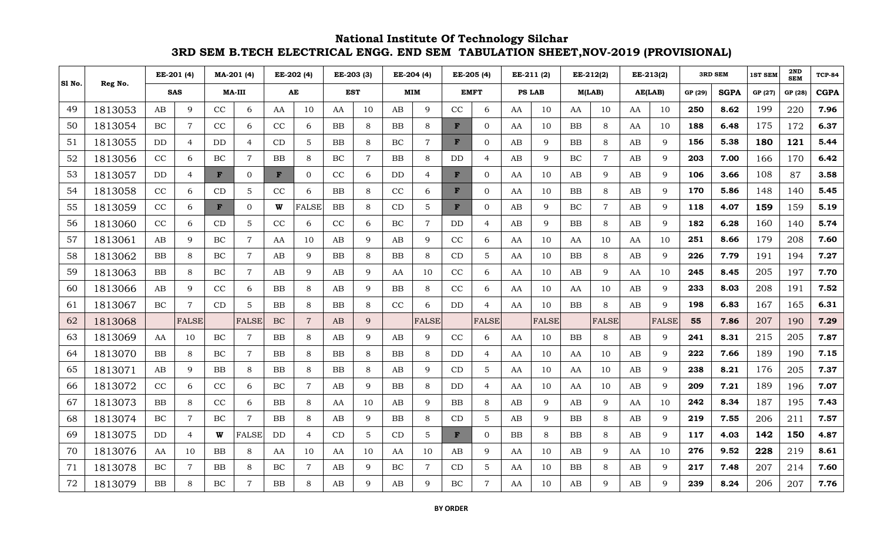|        |         |            | EE-201 (4)     |               | MA-201 (4)     |             | EE-202 (4)     |            | EE-203 (3)     |           | EE-204 (4)     |             | EE-205 (4)     |    | EE-211 (2)    |           | EE-212(2)      |         | EE-213(2)    |         | <b>3RD SEM</b> | <b>1ST SEM</b> | 2ND<br><b>SEM</b> | <b>TCP-84</b> |
|--------|---------|------------|----------------|---------------|----------------|-------------|----------------|------------|----------------|-----------|----------------|-------------|----------------|----|---------------|-----------|----------------|---------|--------------|---------|----------------|----------------|-------------------|---------------|
| S1 No. | Reg No. |            | <b>SAS</b>     | <b>MA-III</b> |                | AE          |                | <b>EST</b> |                |           | <b>MIM</b>     |             | <b>EMFT</b>    |    | <b>PS LAB</b> |           | M(LAB)         | AE(LAB) |              | GP (29) |                | GP (27)        | GP (28)           | <b>CGPA</b>   |
| 49     | 1813053 | AB         | 9              | CC            | 6              | AA          | 10             | AA         | 10             | AB        | 9              | CC          | 6              | AA | 10            | AA        | 10             | AA      | 10           | 250     | 8.62           | 199            | 220               | 7.96          |
| 50     | 1813054 | BC         | 7              | CC            | 6              | CC          | 6              | BB         | 8              | BB        | 8              | F           | $\Omega$       | AA | 10            | BB        | 8              | AA      | 10           | 188     | 6.48           | 175            | 172               | 6.37          |
| 51     | 1813055 | DD         | $\overline{4}$ | DD            | $\overline{4}$ | CD          | 5              | BB         | 8              | BC        | $\overline{7}$ | F           | $\overline{0}$ | AB | 9             | BB        | $\,8\,$        | AB      | 9            | 156     | 5.38           | 180            | 121               | 5.44          |
| 52     | 1813056 | CC         | 6              | BC            | $\overline{7}$ | $_{\rm BB}$ | 8              | BC         | $\overline{7}$ | BB        | 8              | DD          | 4              | AB | 9             | BC        | $\overline{7}$ | AB      | 9            | 203     | 7.00           | 166            | 170               | 6.42          |
| 53     | 1813057 | <b>DD</b>  | $\overline{4}$ | F             | $\overline{0}$ | F           | $\overline{0}$ | CC         | 6              | DD        | $\overline{4}$ | $\mathbf F$ | $\overline{0}$ | AA | 10            | AB        | 9              | AB      | 9            | 106     | 3.66           | 108            | 87                | 3.58          |
| 54     | 1813058 | CC         | 6              | CD            | 5              | CC          | 6              | BB         | 8              | CC        | 6              | F           | $\overline{0}$ | AA | 10            | BB        | 8              | AB      | 9            | 170     | 5.86           | 148            | 140               | 5.45          |
| 55     | 1813059 | CC         | 6              | F             | $\Omega$       | W           | <b>FALSE</b>   | <b>BB</b>  | 8              | CD        | 5              | $\mathbf F$ | $\Omega$       | AB | $\mathbf Q$   | BC        | $\overline{7}$ | AB      | 9            | 118     | 4.07           | 159            | 159               | 5.19          |
| 56     | 1813060 | CC         | 6              | CD            | $\mathbf 5$    | CC          | 6              | CC         | 6              | BC        | $\overline{7}$ | DD.         | $\overline{4}$ | AB | $\mathbf Q$   | <b>BB</b> | 8              | AB      | 9            | 182     | 6.28           | 160            | 140               | 5.74          |
| 57     | 1813061 | AB         | 9              | BC            | $\overline{7}$ | AA          | 10             | AB         | $\mathbf{Q}$   | AB        | 9              | CC          | 6              | AA | 10            | AA        | 10             | AA      | 10           | 251     | 8.66           | 179            | 208               | 7.60          |
| 58     | 1813062 | ${\bf BB}$ | $\,8\,$        | BC            | $\overline{7}$ | AB          | 9              | BB         | 8              | BB        | 8              | CD          | $\overline{5}$ | AA | 10            | BB        | 8              | AB      | 9            | 226     | 7.79           | 191            | 194               | 7.27          |
| 59     | 1813063 | BB         | 8              | BC            | $\overline{7}$ | AB          | 9              | AB         | $\mathbf{Q}$   | AA        | 10             | CC          | 6              | AA | 10            | AB        | 9              | AA      | 10           | 245     | 8.45           | 205            | 197               | 7.70          |
| 60     | 1813066 | AB         | 9              | CC            | 6              | <b>BB</b>   | 8              | AB         | 9              | <b>BB</b> | 8              | CC          | 6              | AA | 10            | AA        | 10             | AB      | 9            | 233     | 8.03           | 208            | 191               | 7.52          |
| 61     | 1813067 | <b>BC</b>  | 7              | CD            | 5              | <b>BB</b>   | 8              | BB         | 8              | CC        | 6              | DD          | $\overline{4}$ | AA | 10            | $\rm BB$  | 8              | AB      | 9            | 198     | 6.83           | 167            | 165               | 6.31          |
| 62     | 1813068 |            | <b>FALSE</b>   |               | <b>FALSE</b>   | $\rm BC$    | $\overline{7}$ | AB         | $\mathbf{Q}$   |           | <b>FALSE</b>   |             | <b>FALSE</b>   |    | <b>FALSE</b>  |           | <b>FALSE</b>   |         | <b>FALSE</b> | 55      | 7.86           | 207            | 190               | 7.29          |
| 63     | 1813069 | AA         | 10             | BC            | $\overline{7}$ | <b>BB</b>   | 8              | AB         | 9              | AB        | 9              | CC          | 6              | AA | 10            | <b>BB</b> | 8              | AB      | 9            | 241     | 8.31           | 215            | 205               | 7.87          |
| 64     | 1813070 | BB         | 8              | BC            | $\overline{7}$ | <b>BB</b>   | 8              | BB         | 8              | BB        | 8              | DD          | $\overline{4}$ | AA | 10            | AA        | 10             | AB      | 9            | 222     | 7.66           | 189            | 190               | 7.15          |
| 65     | 1813071 | AB         | $\mathbf Q$    | <b>BB</b>     | 8              | <b>BB</b>   | 8              | BB         | 8              | AB        | 9              | CD          | $5\phantom{.}$ | AA | 10            | AA        | 10             | AB      | 9            | 238     | 8.21           | 176            | 205               | 7.37          |
| 66     | 1813072 | CC         | 6              | CC            | 6              | BC          | $\overline{7}$ | AB         | 9              | BB        | 8              | DD          | $\overline{4}$ | AA | 10            | AA        | 10             | AB      | 9            | 209     | 7.21           | 189            | 196               | 7.07          |
| 67     | 1813073 | BB         | 8              | CC            | 6              | <b>BB</b>   | 8              | AA         | 10             | AB        | 9              | <b>BB</b>   | 8              | AB | 9             | AB        | 9              | AA      | 10           | 242     | 8.34           | 187            | 195               | 7.43          |
| 68     | 1813074 | BC.        | $\overline{7}$ | BC            | $\overline{7}$ | BB          | 8              | AB         | $\mathbf{Q}$   | <b>BB</b> | 8              | CD          | 5              | AB | $\mathbf Q$   | BB        | 8              | AB      | 9            | 219     | 7.55           | 206            | 211               | 7.57          |
| 69     | 1813075 | DD         | $\overline{4}$ | W             | <b>FALSE</b>   | <b>DD</b>   | $\overline{4}$ | CD         | 5              | CD        | 5              | F           | 0              | BB | 8             | BB        | 8              | AB      | 9            | 117     | 4.03           | 142            | 150               | 4.87          |
| 70     | 1813076 | AA         | 10             | <b>BB</b>     | 8              | AA          | 10             | AA         | 10             | AA        | 10             | AB          | 9              | AA | 10            | AB        | 9              | AA      | 10           | 276     | 9.52           | 228            | 219               | 8.61          |
| 71     | 1813078 | $\rm BC$   | 7              | <b>BB</b>     | 8              | $\rm BC$    | $\overline{7}$ | AB         | 9              | BC        | $\overline{7}$ | CD          | 5              | AA | 10            | BB        | 8              | AB      | 9            | 217     | 7.48           | 207            | 214               | 7.60          |
| 72     | 1813079 | ${\bf BB}$ | 8              | BC            | $\overline{7}$ | BB          | 8              | AB         | $\mathbf{Q}$   | AB        | $\mathbf Q$    | $\rm BC$    | 7              | AA | 10            | AB        | $\mathbf Q$    | AB      | $\mathbf Q$  | 239     | 8.24           | 206            | 207               | 7.76          |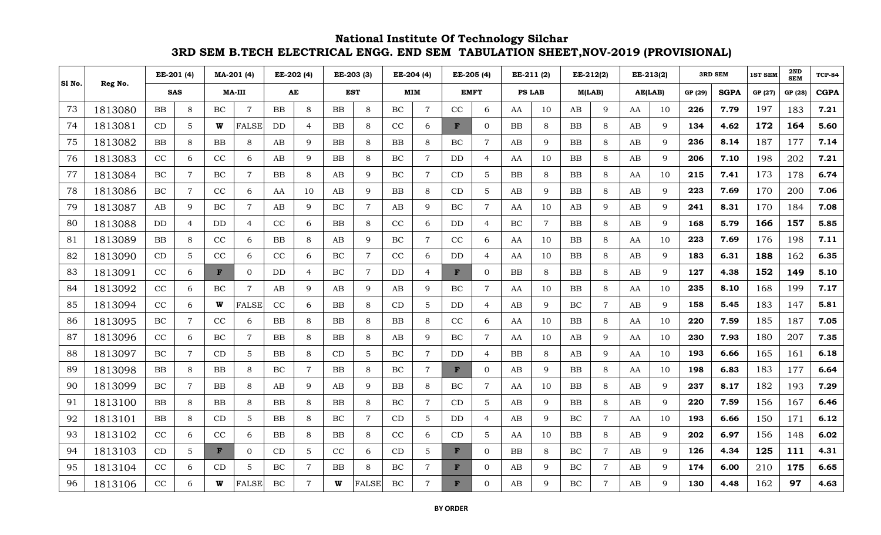| S1 No. | Reg No. |           | EE-201 (4)     |           | MA-201 (4)     |           | EE-202 (4)     |             | EE-203 (3)     |           | EE-204 (4)     |              | EE-205 (4)     | EE-211 (2)    |                | EE-212(2) |                | EE-213(2) |             |         | <b>3RD SEM</b> | <b>1ST SEM</b> | 2ND<br><b>SEM</b> | <b>TCP-84</b> |
|--------|---------|-----------|----------------|-----------|----------------|-----------|----------------|-------------|----------------|-----------|----------------|--------------|----------------|---------------|----------------|-----------|----------------|-----------|-------------|---------|----------------|----------------|-------------------|---------------|
|        |         |           | <b>SAS</b>     |           | <b>MA-III</b>  |           | AE             |             | <b>EST</b>     |           | <b>MIM</b>     |              | EMFT           | <b>PS LAB</b> |                | M(LAB)    |                |           | AE(LAB)     | GP (29) | <b>SGPA</b>    | GP (27)        | GP (28)           | <b>CGPA</b>   |
| 73     | 1813080 | <b>BB</b> | 8              | $\rm BC$  | $\overline{7}$ | <b>BB</b> | 8              | BB          | 8              | BC        | $\overline{7}$ | CC           | 6              | AA            | 10             | AB        | 9              | AA        | 10          | 226     | 7.79           | 197            | 183               | 7.21          |
| 74     | 1813081 | CD        | 5              | W         | <b>FALSE</b>   | DD        | $\overline{4}$ | <b>BB</b>   | 8              | CC        | 6              | F            | $\overline{0}$ | <b>BB</b>     | 8              | <b>BB</b> | 8              | AB        | 9           | 134     | 4.62           | 172            | 164               | 5.60          |
| 75     | 1813082 | BB        | 8              | <b>BB</b> | 8              | AB        | 9              | <b>BB</b>   | 8              | <b>BB</b> | 8              | BC           | $\overline{7}$ | AB            | 9              | <b>BB</b> | 8              | AB        | $\mathbf Q$ | 236     | 8.14           | 187            | 177               | 7.14          |
| 76     | 1813083 | CC        | 6              | CC        | 6              | AB        | 9              | BB          | 8              | BC        | $\overline{7}$ | DD           | $\overline{4}$ | AA            | 10             | BB        | 8              | AB        | 9           | 206     | 7.10           | 198            | 202               | 7.21          |
| 77     | 1813084 | BC        | $\overline{7}$ | BC        | $\overline{7}$ | <b>BB</b> | 8              | AB          | $\mathbf{Q}$   | BC        | $\overline{7}$ | CD           | $5\phantom{.}$ | <b>BB</b>     | 8              | <b>BB</b> | 8              | AA        | 10          | 215     | 7.41           | 173            | 178               | 6.74          |
| 78     | 1813086 | $\rm BC$  | $\overline{7}$ | CC        | 6              | AA        | 10             | AB          | $\mathbf{Q}$   | BB        | 8              | CD           | $5\phantom{.}$ | AB            | 9              | BB        | 8              | AB        | 9           | 223     | 7.69           | 170            | 200               | 7.06          |
| 79     | 1813087 | AB        | 9              | BC        | $\overline{7}$ | AB        | 9              | $\rm BC$    | $\overline{7}$ | AB        | 9              | $\rm BC$     | $\overline{7}$ | AA            | 10             | AB        | 9              | AB        | $\mathbf Q$ | 241     | 8.31           | 170            | 184               | 7.08          |
| 80     | 1813088 | <b>DD</b> | $\overline{4}$ | DD        | $\overline{4}$ | CC        | 6              | BB          | 8              | CC        | 6              | DD.          | $\overline{4}$ | BC            | $\overline{7}$ | <b>BB</b> | 8              | AB        | 9           | 168     | 5.79           | 166            | 157               | 5.85          |
| 81     | 1813089 | BB        | 8              | $\rm CC$  | 6              | BB        | 8              | AB          | 9              | BC        | $\overline{7}$ | CC           | 6              | AA            | 10             | BB        | $8\,$          | AA        | 10          | 223     | 7.69           | 176            | 198               | 7.11          |
| 82     | 1813090 | CD        | 5              | CC        | 6              | CC        | 6              | $\rm BC$    | $\overline{7}$ | CC        | 6              | DD           | $\overline{4}$ | AA            | 10             | BB        | 8              | AB        | 9           | 183     | 6.31           | 188            | 162               | 6.35          |
| 83     | 1813091 | CC        | 6              | F         | $\Omega$       | DD        | $\overline{4}$ | BC          | $\overline{7}$ | DD        | 4              | F            | $\Omega$       | BB            | 8              | <b>BB</b> | 8              | AB        | 9           | 127     | 4.38           | 152            | 149               | 5.10          |
| 84     | 1813092 | CC        | 6              | BC        | $\overline{7}$ | AB        | 9              | AB          | 9              | AB        | 9              | BC           | $\overline{7}$ | AA            | 10             | <b>BB</b> | 8              | AA        | 10          | 235     | 8.10           | 168            | 199               | 7.17          |
| 85     | 1813094 | CC        | 6              | W         | <b>FALSE</b>   | CC        | 6              | BB          | 8              | CD        | 5              | DD           | $\overline{4}$ | AB            | 9              | BC        | $\overline{7}$ | AB        | $\mathbf Q$ | 158     | 5.45           | 183            | 147               | 5.81          |
| 86     | 1813095 | BC        | $\overline{7}$ | CC        | 6              | <b>BB</b> | 8              | $_{\rm BB}$ | 8              | <b>BB</b> | 8              | CC           | 6              | AA            | 10             | <b>BB</b> | 8              | AA        | 10          | 220     | 7.59           | 185            | 187               | 7.05          |
| 87     | 1813096 | CC        | 6              | BC        | $\overline{7}$ | <b>BB</b> | 8              | BB          | 8              | AB        | 9              | $\rm BC$     | $\overline{7}$ | AA            | 10             | AB        | 9              | AA        | 10          | 230     | 7.93           | 180            | 207               | 7.35          |
| 88     | 1813097 | BC        | $\overline{7}$ | CD        | 5              | BB        | 8              | CD          | 5              | BC        | $\overline{7}$ | DD           | $\overline{4}$ | BB            | 8              | AB        | 9              | AA        | 10          | 193     | 6.66           | 165            | 161               | 6.18          |
| 89     | 1813098 | <b>BB</b> | 8              | <b>BB</b> | 8              | BC        | $\overline{7}$ | <b>BB</b>   | 8              | BC        | $\overline{7}$ | $\mathbf{F}$ | $\overline{0}$ | AB            | 9              | <b>BB</b> | 8              | AA        | 10          | 198     | 6.83           | 183            | 177               | 6.64          |
| 90     | 1813099 | BC        | $\overline{7}$ | BB        | 8              | AB        | 9              | AB          | 9              | <b>BB</b> | 8              | BC           | $\overline{7}$ | AA            | 10             | <b>BB</b> | 8              | AB        | 9           | 237     | 8.17           | 182            | 193               | 7.29          |
| 91     | 1813100 | <b>BB</b> | 8              | <b>BB</b> | 8              | BB        | 8              | BB          | 8              | BC        | $\overline{7}$ | CD           | 5              | AB            | 9              | BB        | 8              | AB        | 9           | 220     | 7.59           | 156            | 167               | 6.46          |
| 92     | 1813101 | $\rm BB$  | 8              | CD        | 5              | BB        | 8              | <b>BC</b>   | $\overline{7}$ | CD        | $\sqrt{5}$     | DD           | $\overline{4}$ | AB            | 9              | $\rm BC$  | $\overline{7}$ | AA        | 10          | 193     | 6.66           | 150            | 171               | 6.12          |
| 93     | 1813102 | CC        | 6              | CC        | 6              | <b>BB</b> | 8              | <b>BB</b>   | 8              | CC        | 6              | CD           | 5              | AA            | 10             | <b>BB</b> | 8              | AB        | 9           | 202     | 6.97           | 156            | 148               | 6.02          |
| 94     | 1813103 | CD        | $\mathbf 5$    | F         | $\Omega$       | CD        | 5              | CC          | 6              | CD        | 5              | F            | $\Omega$       | BB            | 8              | $\rm BC$  | $\overline{7}$ | AB        | 9           | 126     | 4.34           | 125            | 111               | 4.31          |
| 95     | 1813104 | CC        | 6              | CD        | 5              | BC        | $\overline{7}$ | BB          | 8              | BC        | $\overline{7}$ | $\mathbf{F}$ | $\overline{0}$ | AB            | 9              | $\rm BC$  | $\overline{7}$ | AB        | 9           | 174     | 6.00           | 210            | 175               | 6.65          |
| 96     | 1813106 | CC        | 6              | W         | <b>FALSE</b>   | BC        | $\overline{7}$ | W           | <b>FALSE</b>   | BC        | 7              | $\mathbf F$  | $\Omega$       | AB            | 9              | BC        | $\overline{7}$ | AB        | 9           | 130     | 4.48           | 162            | 97                | 4.63          |